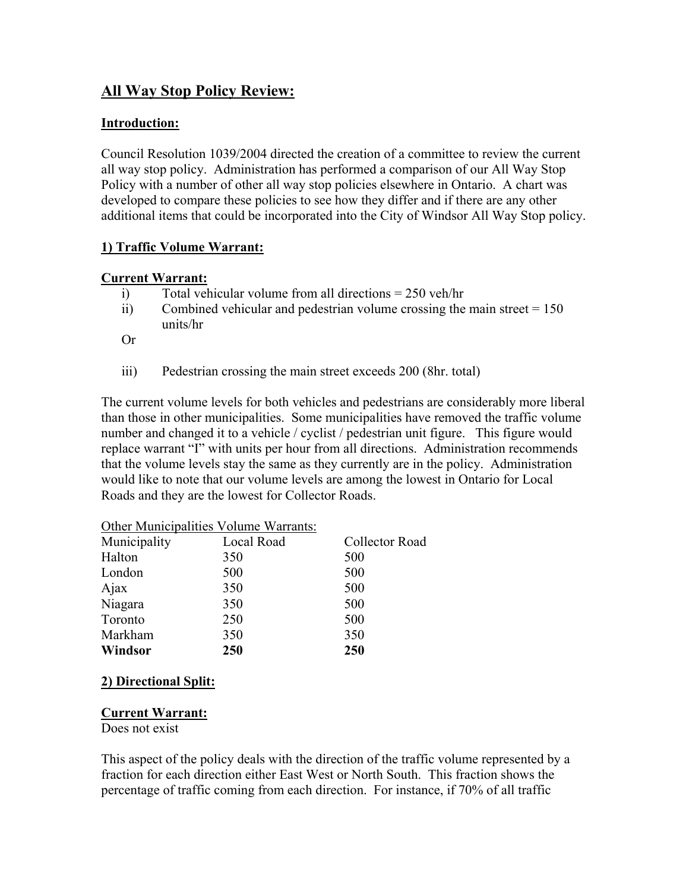# **All Way Stop Policy Review:**

## **Introduction:**

Council Resolution 1039/2004 directed the creation of a committee to review the current all way stop policy. Administration has performed a comparison of our All Way Stop Policy with a number of other all way stop policies elsewhere in Ontario. A chart was developed to compare these policies to see how they differ and if there are any other additional items that could be incorporated into the City of Windsor All Way Stop policy.

## **1) Traffic Volume Warrant:**

#### **Current Warrant:**

- i) Total vehicular volume from all directions = 250 veh/hr
- ii) Combined vehicular and pedestrian volume crossing the main street  $= 150$ units/hr

Or

iii) Pedestrian crossing the main street exceeds 200 (8hr. total)

The current volume levels for both vehicles and pedestrians are considerably more liberal than those in other municipalities. Some municipalities have removed the traffic volume number and changed it to a vehicle / cyclist / pedestrian unit figure. This figure would replace warrant "I" with units per hour from all directions. Administration recommends that the volume levels stay the same as they currently are in the policy. Administration would like to note that our volume levels are among the lowest in Ontario for Local Roads and they are the lowest for Collector Roads.

|              | Other Municipalities Volume Warrants: |                |
|--------------|---------------------------------------|----------------|
| Municipality | Local Road                            | Collector Road |
| Halton       | 350                                   | 500            |
| London       | 500                                   | 500            |
| Ajax         | 350                                   | 500            |
| Niagara      | 350                                   | 500            |
| Toronto      | 250                                   | 500            |
| Markham      | 350                                   | 350            |
| Windsor      | 250                                   | 250            |

## **2) Directional Split:**

#### **Current Warrant:**

Does not exist

This aspect of the policy deals with the direction of the traffic volume represented by a fraction for each direction either East West or North South. This fraction shows the percentage of traffic coming from each direction. For instance, if 70% of all traffic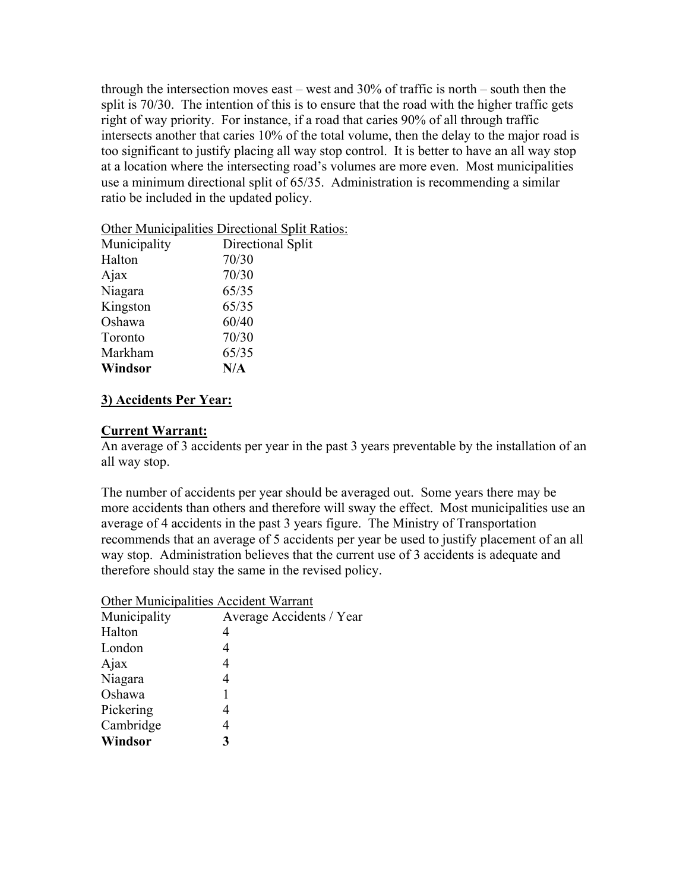through the intersection moves east – west and 30% of traffic is north – south then the split is 70/30. The intention of this is to ensure that the road with the higher traffic gets right of way priority. For instance, if a road that caries 90% of all through traffic intersects another that caries 10% of the total volume, then the delay to the major road is too significant to justify placing all way stop control. It is better to have an all way stop at a location where the intersecting road's volumes are more even. Most municipalities use a minimum directional split of 65/35. Administration is recommending a similar ratio be included in the updated policy.

| Municipality | Directional Split |
|--------------|-------------------|
| Halton       | 70/30             |
| Ajax         | 70/30             |
| Niagara      | 65/35             |
| Kingston     | 65/35             |
| Oshawa       | 60/40             |
| Toronto      | 70/30             |
| Markham      | 65/35             |
| Windsor      | N/A               |

#### Other Municipalities Directional Split Ratios:

## **3) Accidents Per Year:**

#### **Current Warrant:**

An average of 3 accidents per year in the past 3 years preventable by the installation of an all way stop.

The number of accidents per year should be averaged out. Some years there may be more accidents than others and therefore will sway the effect. Most municipalities use an average of 4 accidents in the past 3 years figure. The Ministry of Transportation recommends that an average of 5 accidents per year be used to justify placement of an all way stop. Administration believes that the current use of 3 accidents is adequate and therefore should stay the same in the revised policy.

Other Municipalities Accident Warrant

| Municipality | Average Accidents / Year |
|--------------|--------------------------|
| Halton       |                          |
| London       |                          |
| Ajax         | 4                        |
| Niagara      | 4                        |
| Oshawa       |                          |
| Pickering    | 4                        |
| Cambridge    |                          |
| Windsor      | 3                        |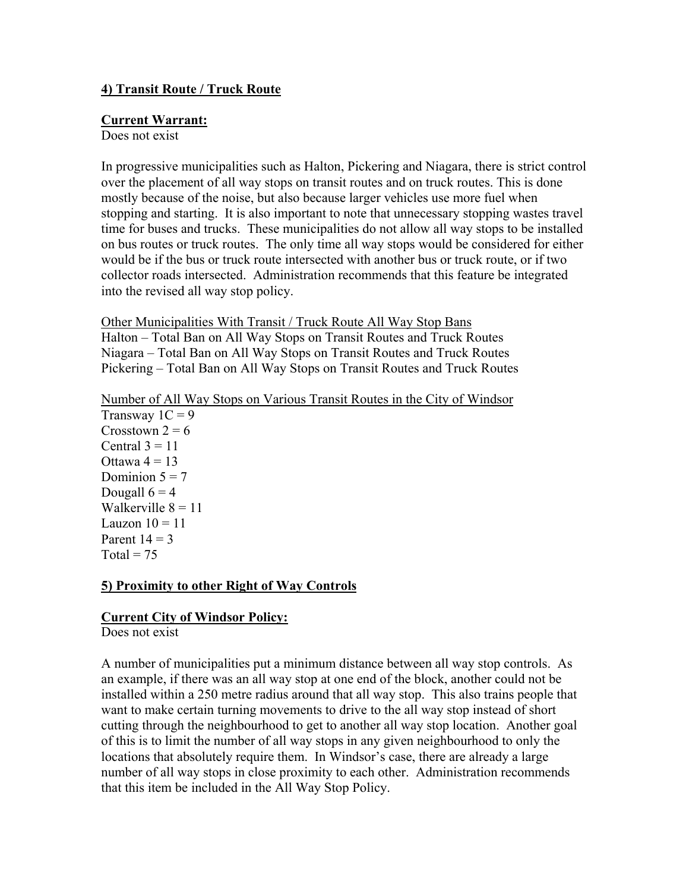## **4) Transit Route / Truck Route**

#### **Current Warrant:**

Does not exist

In progressive municipalities such as Halton, Pickering and Niagara, there is strict control over the placement of all way stops on transit routes and on truck routes. This is done mostly because of the noise, but also because larger vehicles use more fuel when stopping and starting. It is also important to note that unnecessary stopping wastes travel time for buses and trucks. These municipalities do not allow all way stops to be installed on bus routes or truck routes. The only time all way stops would be considered for either would be if the bus or truck route intersected with another bus or truck route, or if two collector roads intersected. Administration recommends that this feature be integrated into the revised all way stop policy.

Other Municipalities With Transit / Truck Route All Way Stop Bans Halton – Total Ban on All Way Stops on Transit Routes and Truck Routes Niagara – Total Ban on All Way Stops on Transit Routes and Truck Routes Pickering – Total Ban on All Way Stops on Transit Routes and Truck Routes

#### Number of All Way Stops on Various Transit Routes in the City of Windsor

Transway  $1C = 9$ Crosstown  $2 = 6$ Central  $3 = 11$ Ottawa  $4 = 13$ Dominion  $5 = 7$ Dougall  $6 = 4$ Walkerville  $8 = 11$ Lauzon  $10 = 11$ Parent  $14 = 3$ Total =  $75$ 

#### **5) Proximity to other Right of Way Controls**

#### **Current City of Windsor Policy:**

Does not exist

A number of municipalities put a minimum distance between all way stop controls. As an example, if there was an all way stop at one end of the block, another could not be installed within a 250 metre radius around that all way stop. This also trains people that want to make certain turning movements to drive to the all way stop instead of short cutting through the neighbourhood to get to another all way stop location. Another goal of this is to limit the number of all way stops in any given neighbourhood to only the locations that absolutely require them. In Windsor's case, there are already a large number of all way stops in close proximity to each other. Administration recommends that this item be included in the All Way Stop Policy.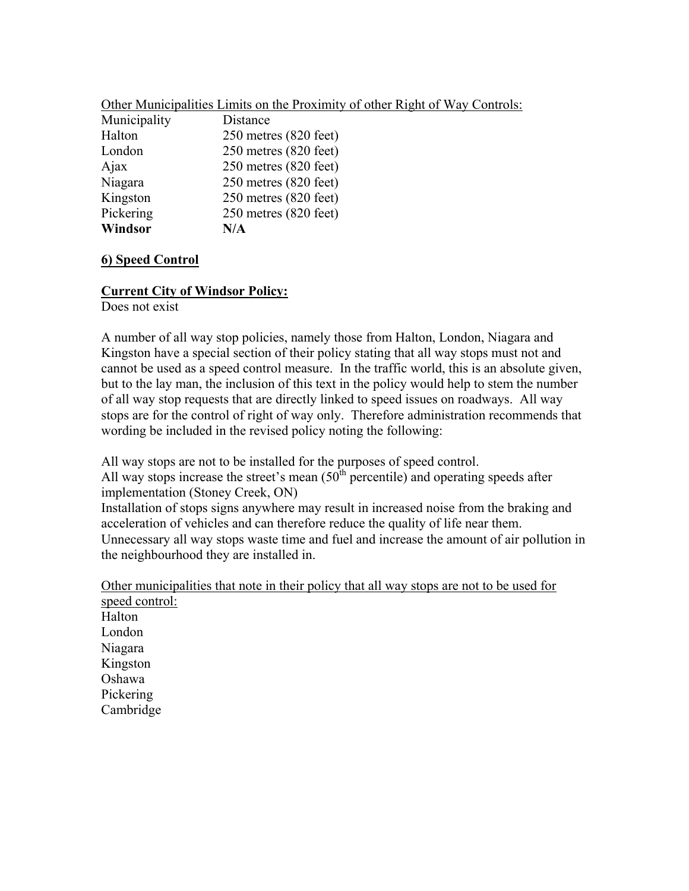| Other Municipalities Limits on the Proximity of other Right of Way Controls:<br>$M_{\rm union}$ |  |
|-------------------------------------------------------------------------------------------------|--|
|                                                                                                 |  |

| Municipality | Distance                  |
|--------------|---------------------------|
| Halton       | $250$ metres $(820$ feet) |
| London       | 250 metres (820 feet)     |
| Ajax         | 250 metres (820 feet)     |
| Niagara      | 250 metres (820 feet)     |
| Kingston     | 250 metres (820 feet)     |
| Pickering    | 250 metres (820 feet)     |
| Windsor      | N/A                       |

## **6) Speed Control**

## **Current City of Windsor Policy:**

Does not exist

A number of all way stop policies, namely those from Halton, London, Niagara and Kingston have a special section of their policy stating that all way stops must not and cannot be used as a speed control measure. In the traffic world, this is an absolute given, but to the lay man, the inclusion of this text in the policy would help to stem the number of all way stop requests that are directly linked to speed issues on roadways. All way stops are for the control of right of way only. Therefore administration recommends that wording be included in the revised policy noting the following:

All way stops are not to be installed for the purposes of speed control.

All way stops increase the street's mean  $(50<sup>th</sup>$  percentile) and operating speeds after implementation (Stoney Creek, ON)

Installation of stops signs anywhere may result in increased noise from the braking and acceleration of vehicles and can therefore reduce the quality of life near them. Unnecessary all way stops waste time and fuel and increase the amount of air pollution in the neighbourhood they are installed in.

Other municipalities that note in their policy that all way stops are not to be used for speed control:

Halton London Niagara Kingston Oshawa Pickering Cambridge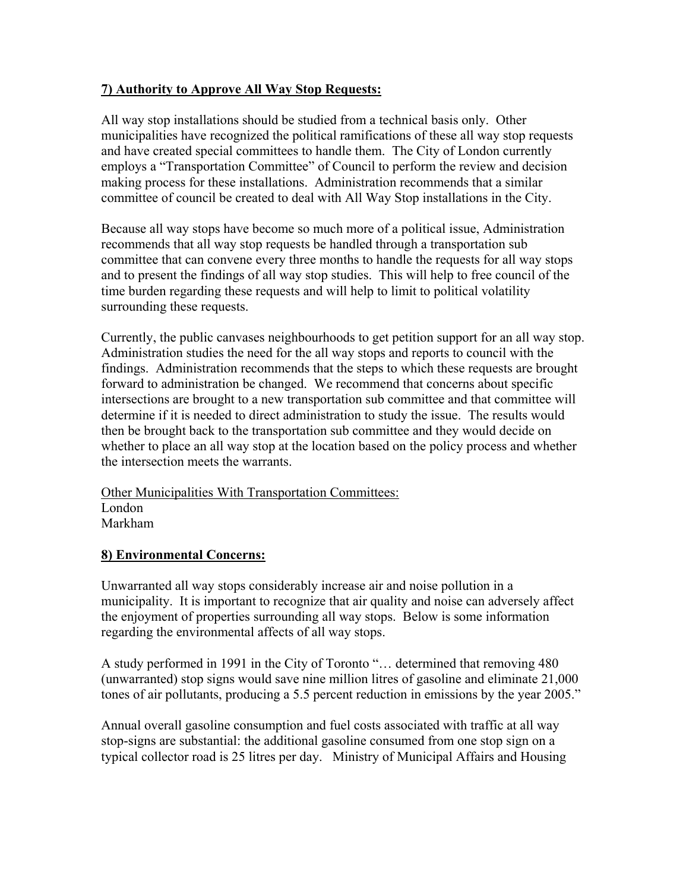## **7) Authority to Approve All Way Stop Requests:**

All way stop installations should be studied from a technical basis only. Other municipalities have recognized the political ramifications of these all way stop requests and have created special committees to handle them. The City of London currently employs a "Transportation Committee" of Council to perform the review and decision making process for these installations. Administration recommends that a similar committee of council be created to deal with All Way Stop installations in the City.

Because all way stops have become so much more of a political issue, Administration recommends that all way stop requests be handled through a transportation sub committee that can convene every three months to handle the requests for all way stops and to present the findings of all way stop studies. This will help to free council of the time burden regarding these requests and will help to limit to political volatility surrounding these requests.

Currently, the public canvases neighbourhoods to get petition support for an all way stop. Administration studies the need for the all way stops and reports to council with the findings. Administration recommends that the steps to which these requests are brought forward to administration be changed. We recommend that concerns about specific intersections are brought to a new transportation sub committee and that committee will determine if it is needed to direct administration to study the issue. The results would then be brought back to the transportation sub committee and they would decide on whether to place an all way stop at the location based on the policy process and whether the intersection meets the warrants.

## Other Municipalities With Transportation Committees: London Markham

## **8) Environmental Concerns:**

Unwarranted all way stops considerably increase air and noise pollution in a municipality. It is important to recognize that air quality and noise can adversely affect the enjoyment of properties surrounding all way stops. Below is some information regarding the environmental affects of all way stops.

A study performed in 1991 in the City of Toronto "… determined that removing 480 (unwarranted) stop signs would save nine million litres of gasoline and eliminate 21,000 tones of air pollutants, producing a 5.5 percent reduction in emissions by the year 2005."

Annual overall gasoline consumption and fuel costs associated with traffic at all way stop-signs are substantial: the additional gasoline consumed from one stop sign on a typical collector road is 25 litres per day. Ministry of Municipal Affairs and Housing